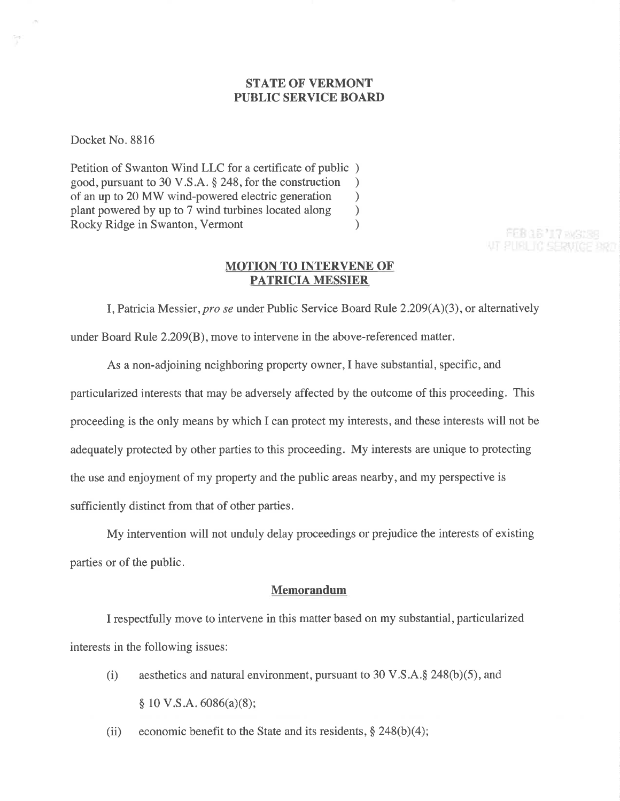## STATE OF VERMONT PUBLIC SERVICE BOARI)

Docket No. 8816

Petition of Swanton Wind LLC for a certificate of public ) good, pursuant to 30 V.S.A. § 248, for the construction <br>of an up to 20 MW wind-powered electric generation of an up to 20 MW wind-powered electric generation<br>plant powered by up to 7 wind turbines located along plant powered by up to 7 wind turbines located along <br>
Rocky Ridge in Swanton, Vermont (1) Rocky Ridge in Swanton, Vermont )

FEB 16 '17 EAS138 **VT PUBLIC SERVICE BRD** 

#### MOTION TO INTERVENE OF PATRICIA MESSIER

I, Patricia Messier, pro se under Public Service Board Rule  $2.209(A)(3)$ , or alternatively under Board Rule 2.209(8), move to intervene in the above-referenced matter.

As a non-adjoining neighboring property owner,I have substantial, specific, and particularized interests that may be adversely affected by the outcome of this proceeding. This proceeding is the only means by which I can protect my interests, and these interests will not be adequately protected by other parties to this proceeding. My interests are unique to protecting the use and enjoyment of my property and the public areas nearby, and my perspective is sufficiently distinct from that of other parties.

My intervention will not unduly delay proceedings or prejudice the interests of existing parties or of the public.

#### Memorandum

I respectfully move to intervene in this matter based on my substantial, particularized interests in the following issues:

(i) aesthetics and natural environment, pursuant to 30 V.S.A. $\S$  248(b)(5), and  $$ 10 V.S.A.6086(a)(8);$ 

(ii) economic benefit to the State and its residents,  $\S$  248(b)(4);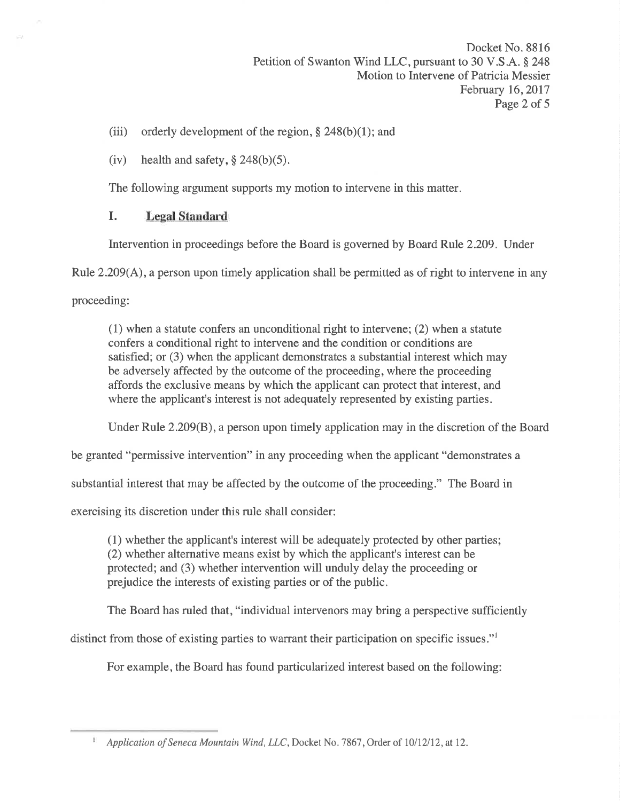Docket No. 881ó Petition of Swanton Wind LLC, pursuant to 30 V.S.A. § 248 Motion to Intervene of Patricia Messier February 16, 2017 Page 2 of 5

- (iii) orderly development of the region,  $\S$  248(b)(1); and
- (iv) health and safety,  $\S$  248(b)(5).

The following argument supports my motion to intervene in this matter.

# I. Legal Standard

Intervention in proceedings before the Board is governed by Board Rule 2.209. Under

Rule 2.209(A), a person upon timely application shall be permitted as of right to intervene in any

proceeding:

(1) when a statute confers an unconditional right to intervene; (2) when a statute confers a conditional right to intervene and the condition or conditions are satisfied; or (3) when the applicant demonstrates a substantial interest which may be adversely affected by the outcome of the proceeding, where the proceeding affords the exclusive means by which the applicant can protect that interest, and where the applicant's interest is not adequately represented by existing parties.

Under Rule 2.209(8), a person upon timely application may in the discretion of the Board

be granted "permissive intervention" in any proceeding when the applicant "demonstrates a

substantial interest that may be affected by the outcome of the proceeding." The Board in

exercising its discretion under this rule shall consider:

(1) whether the applicant's interest will be adequately protected by other parties; (2) whether alternative means exist by which the applicant's interest can be protected; and (3) whether intervention will unduly delay the proceeding or prejudice the interests of existing parties or of the public.

The Board has ruled that, "individual intervenors may bring a perspective sufficiently

distinct from those of existing parties to warrant their participation on specific issues."

For example, the Board has found particularized interest based on the following:

Application of Seneca Mountain Wind, LLC, Docket No. 7867, Order of 10/12/12, at 12.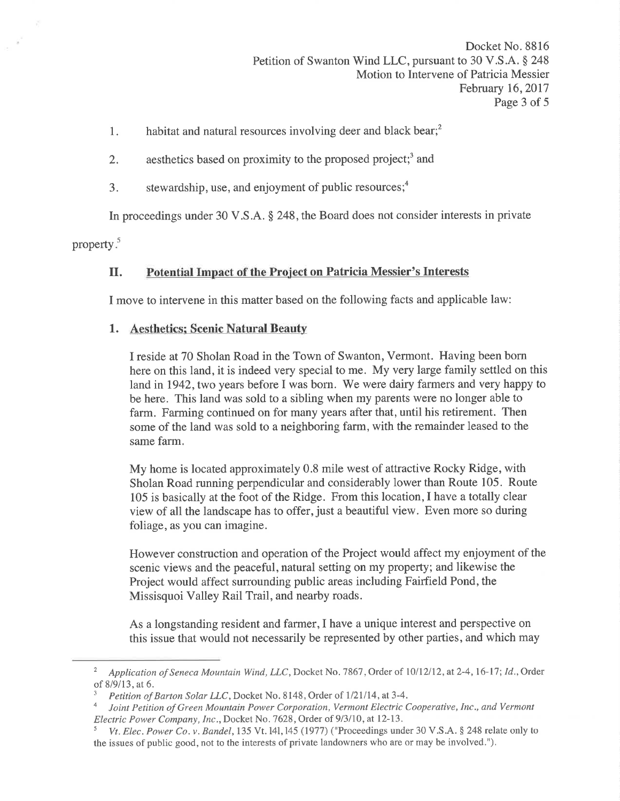- 1. habitat and natural resources involving deer and black bear; $<sup>2</sup>$ </sup>
- 2. aesthetics based on proximity to the proposed project;<sup>3</sup> and
- 3. stewardship, use, and enjoyment of public resources; $<sup>4</sup>$ </sup>

In proceedings under 30 V.S.A. \$ 248, the Board does not consider interests in private

property.<sup>5</sup>

# II. Potential Impact of the Project on Patricia Messier's Interests

I move to intervene in this matter based on the following facts and applicable law:

## 1. Aesthetics; Scenic Natural Beauty

I reside at 70 Sholan Road in the Town of Swanton, Vermont. Having been born here on this land, it is indeed very special to me. My very large family settled on this land in 1942, two years before I was born. We were dairy farmers and very happy to be here. This land was sold to a sibling when my parents were no longer able to farm. Farming continued on for many years after that, until his retirement. Then some of the land was sold to a neighboring farm, with the remainder leased to the same farm.

My home is located approximately 0.8 mile west of attractive Rocky Ridge, with Sholan Road running perpendicular and considerably lower than Route 105. Route 105 is basically at the foot of the Ridge. From this location, I have a totally clear view of all the landscape has to offer, just a beautiful view. Even more so during foliage, as you can imagine.

However construction and operation of the Project would affect my enjoyment of the scenic views and the peaceful, natural setting on my property; and likewise the Project would affect surrounding public areas including Fairfield Pond, the Missisquoi Valley Rail Trail, and nearby roads.

As a longstanding resident and farmer,I have a unique interest and perspective on this issue that would not necessarily be represented by other parties, and which may

<sup>&</sup>lt;sup>2</sup> Application of Seneca Mountain Wind, LLC, Docket No. 7867, Order of 10/12/12, at 2-4, 16-17; Id., Order

of 8/9/13, at 6.<br><sup>3</sup> Petition of Barton Solar LLC, Docket No. 8148, Order of 1/21/14, at 3-4.<br><sup>4</sup> Loint Petition of Green Mountain Power Cornoration, Vermont Electric C

Joint Petition of Green Mountain Power Corporation, Vermont Electric Cooperative, Inc., and Vermont Electric Power Company, Inc., Docket No. 7628, Order of 9/3/10, at 12-13.<br><sup>5</sup> Vt. Elec. Power Co. v. Bandel, 135 Vt. 141, 145 (1977) ("Proceedings under 30 V.S.A. § 248 relate only to

the issues of public good, not to the interests of private landowners who are or may be involved.").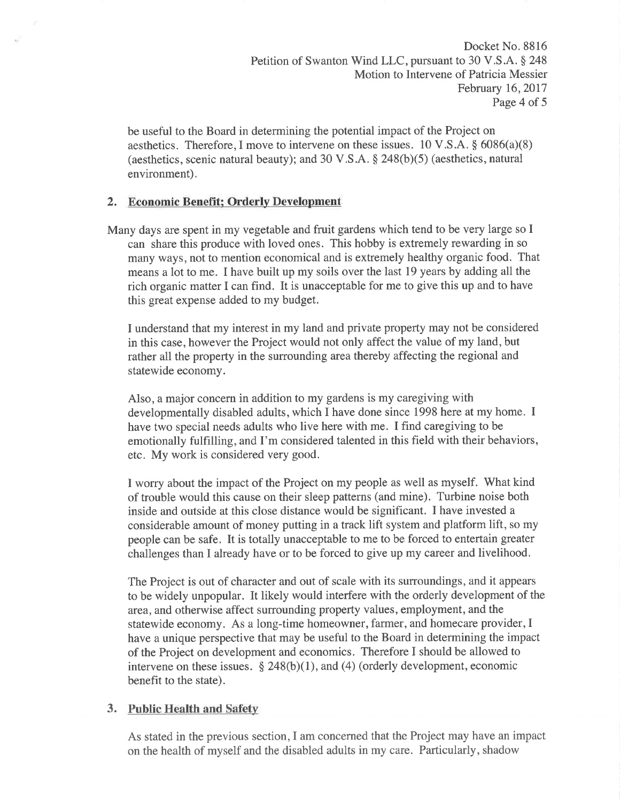Docket No. 8816 Petition of Swanton Wind LLC, pursuant to 30 V.S.A. § 248 Motion to Intervene of Patricia Messier February 16,2017 Page 4 of 5

be useful to the Board in determining the potential impact of the Project on aesthetics. Therefore, I move to intervene on these issues. 10 V.S.A.  $\S$  6086(a)(8) (aesthetics, scenic natural beauty); and 30 V.S.A.  $\S$  248(b)(5) (aesthetics, natural environment).

### 2. Economic Benefit; Orderly Development

Many days are spent in my vegetable and fruit gardens which tend to be very large so I can share this produce with loved ones. This hobby is extremely rewarding in so many ways, not to mention economical and is extremely healthy organic food. That means a lot to me. I have built up my soils over the last 19 years by adding all the rich organic matter I can find. It is unacceptable for me to give this up and to have this great expense added to my budget.

I understand that my interest in my land and private property may not be considered in this case, however the Project would not only affect the value of my land, but rather all the property in the surrounding area thereby affecting the regional and statewide economy.

Also, a major concern in addition to my gardens is my caregiving with developmentally disabled adults, which I have done since 1998 here at my home. I have two special needs adults who live here with me. I find caregiving to be emotionally fulfilling, and f'm considered talented in this field with their behaviors, etc. My work is considered very good.

I worry about the impact of the Project on my people as well as myself. What kind of trouble would this cause on their sleep patterns (and mine). Turbine noise both inside and outside at this close distance would be significant. I have invested a considerable amount of money putting in a track lift system and platform lift, so my people can be safe. It is totally unacceptable to me to be forced to entertain greater challenges than I already have or to be forced to give up my career and livelihood.

The Project is out of character and out of scale with its surroundings, and it appears to be widely unpopular. It likely would interfere with the orderly development of the area, and otherwise affect surrounding property values, employment, and the statewide economy. As a long-time homeowner, farmer, and homecare provider, I have a unique perspective that may be useful to the Board in determining the impact of the Project on development and economics. Therefore I should be allowed to intervene on these issues.  $\S 248(b)(1)$ , and (4) (orderly development, economic benefit to the state).

### 3. Public Health and Safety

As stated in the previous section,I am concerned that the Project may have an impact on the health of myself and the disabled adults in my care. Particularly, shadow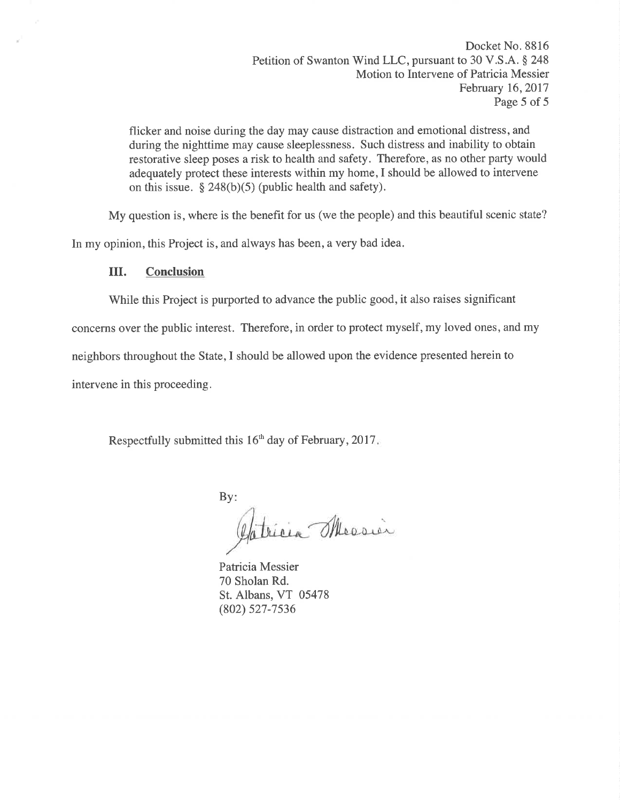Docket No. 8816 Petition of Swanton Wind LLC, pursuant to 30 V.S.A. \$ 248 Motion to Intervene of Patricia Messier February 16, 2017 Page 5 of 5

flicker and noise during the day may cause distraction and emotional distress, and during the nighttime may cause sleeplessness. Such distress and inability to obtain restorative sleep poses a risk to health and safety. Therefore, as no other party would adequately protect these interests within my home,I should be allowed to intervene on this issue.  $§$  248(b)(5) (public health and safety).

My question is, where is the benefit for us (we the people) and this beautiful scenic state?

In my opinion, this Project is, and always has been, a very bad idea.

#### ilI. Conclusion

While this Project is purported to advance the public good, it also raises significant

concerns over the public interest. Therefore, in order to protect myself, my loved ones, and my

neighbors throughout the State,I should be allowed upon the evidence presented herein to

intervene in this proceeding.

Respectfully submitted this  $16<sup>th</sup>$  day of February, 2017.

By:<br>Gatricia Messier

Patricia Messier 70 Sholan Rd. St. Albans, VT 05478 (802) s27-7s36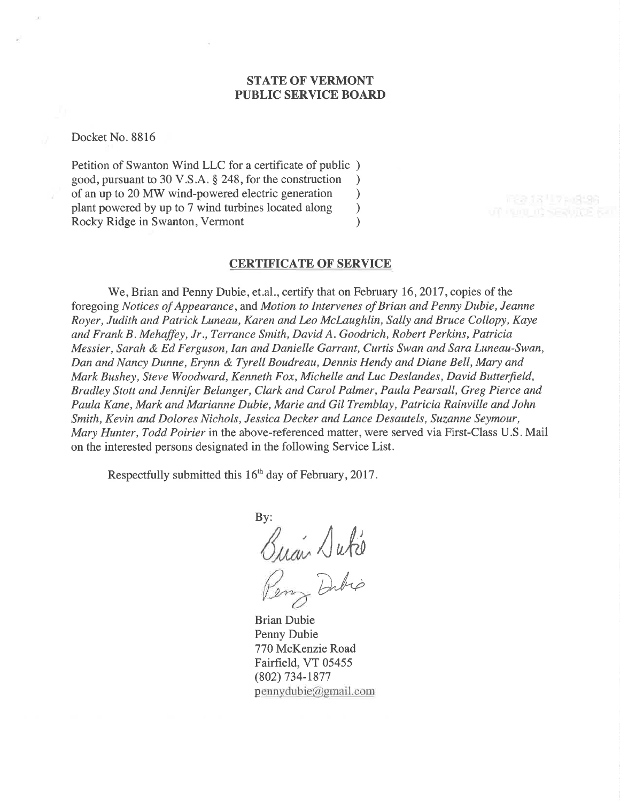### STATE OF VERMONT PUBLIC SERVICE BOARD

Docket No. 8816

Petition of Swanton Wind LLC for a certificate of public ) good, pursuant to 30 V.S.A. \$ 248, for the construction ) of an up to 20 MW wind-powered electric generation <br>plant powered by up to 7 wind turbines located along  $)$ plant powered by up to 7 wind turbines located along <br>
Rocky Ridge in Swanton, Vermont (1) Rocky Ridge in Swanton, Vermont

#### **CERTIFICATE OF SERVICE**

We, Brian and Penny Dubie, et.al., certify that on February 16, 2017, copies of the foregoing Notices of Appearance, and Motion to Intervenes of Brian and Penny Dubie, Jeanne Royer, Judith and Patrick Luneau, Karen and Leo McLaughlin, Sally and Bruce Collopy, Kaye and Frank B. Mehaffey, Jr., Terrance Smith, David A. Goodrich, Robert Perkins, Patricia Messier, Sarah & Ed Ferguson, Ian and Danielle Garrant, Curtis Swan and Sara Luneau-Swan, Dan and Nancy Dunne, Erynn & Tyrell Boudreau, Dennis Hendy and Diane Bell, Mary and Mark Bushey, Steve Woodward, Kenneth Fox, Michelle and Luc Deslandes, David Butterfield, Bradley Stott and Jennifer Belanger, Clark and Carol Palmer, Paula Pearsall, Greg Pierce and Paula Kane, Mark and Marianne Dubíe, Marie and Gil Tremblay, Patricia Rainville and John Smith, Kevin and Dolores Nichols, Jessica Decker and Lance Desautels, Suzanne Seymour, Mary Hunter, Todd Poirier in the above-referenced matter, were served via First-Class U.S. Mail on the interested persons designated in the following Service List.

Respectfully submitted this  $16<sup>th</sup>$  day of February, 2017.

By:  $\sqrt{u}$ Dibio

Brian Dubie Penny Dubie 770 McKenzie Road Fairfield, VT 05455 (802) 734-1877 pennydubie@gmail.com